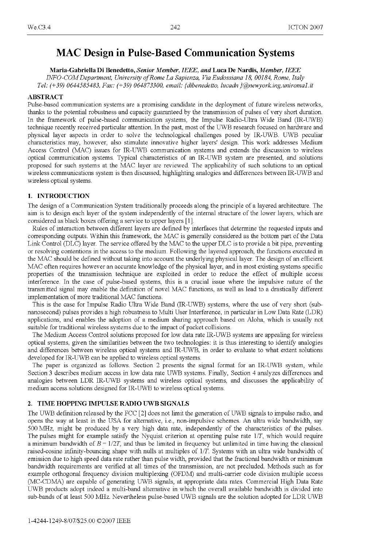# MAC Design in Pulse-Based Communication Systems

Maria-Gabriella Di Benedetto, Senior Member, IEEE, and Luca De Nardis, Member, IEEE INFO-COMDepartment, University ofRome La Sapienza, Via Eudossiana 18, 00184, Rome, Italy Tel:  $(+39)$  0644585483, Fax:  $(+39)$  064873300, email: {dibenedetto, lucadn }@newyork.ing.uniromal.it

#### ABSTRACT

Pulse-based communication systems are a promising candidate in the deployment of future wireless networks, thanks to the potential robustness and capacity guaranteed by the transmission of pulses of very short duration. In the framework of pulse-based communication systems, the Impulse Radio-Ultra Wide Band (IR-UWB) technique recently received particular attention. In the past, most of the UWB research focused on hardware and physical layer aspects in order to solve the technological challenges posed by IR-UWB. UWB peculiar characteristics may, however, also stimulate innovative higher layers' design. This work addresses Medium Access Control (MAC) issues for IR-UWB communication systems and extends the discussion to wireless optical communication systems. Typical characteristics of an IR-UWB system are presented, and solutions proposed for such systems at the MAC layer are reviewed. The applicability of such solutions to an optical wireless communications system is then discussed, highlighting analogies and differences between IR-UWB and wireless optical systems.

### 1. INTRODUCTION

The design of a Communication System traditionally proceeds along the principle of a layered architecture. The aim is to design each layer of the system independently of the internal structure of the lower layers, which are considered as black boxes offering a service to upper layers [1].

Rules of interaction between different layers are defined by interfaces that determine the requested inputs and corresponding outputs. Within this framework, the MAC is generally considered as the bottom part of the Data Link Control (DLC) layer. The service offered by the MAC to the upper DLC is to provide <sup>a</sup> bit pipe, preventing or resolving contentions in the access to the medium. Following the layered approach, the functions executed in the MAC should be defined without taking into account the underlying physical layer. The design of an efficient MAC often requires however an accurate knowledge of the physical layer, and in most existing systems specific properties of the transmission technique are exploited in order to reduce the effect of multiple access interference. In the case of pulse-based systems, this is a crucial issue where the impulsive nature of the transmitted signal may enable the definition of novel MAC functions, as well as lead to <sup>a</sup> drastically different implementation of more traditional MAC functions.

This is the case for Impulse Radio Ultra Wide Band (IR-UWB) systems, where the use of very short (subnanosecond) pulses provides <sup>a</sup> high robustness to Multi User Interference, in particular in Low Data Rate (LDR) applications, and enables the adoption of a medium sharing approach based on Aloha, which is usually not suitable for traditional wireless systems due to the impact of packet collisions.

The Medium Access Control solutions proposed for low data rate IR-UWB systems are appealing for wireless optical systems, given the similarities between the two technologies: it is thus interesting to identify analogies and differences between wireless optical systems and IR-UWB, in order to evaluate to what extent solutions developed for IR-UWB can be applied to wireless optical systems.

The paper is organized as follows. Section <sup>2</sup> presents the signal format for an IR-UWB system, while Section <sup>3</sup> describes medium access in low data rate UWB systems. Finally, Section <sup>4</sup> analyzes differences and analogies between LDR IR-UWB systems and wireless optical systems, and discusses the applicability of medium access solutions designed for IR-UWB to wireless optical systems.

#### 2. TIME HOPPING IMPULSE RADIO UWB SIGNALS

The UWB definition released by the FCC [2] does not limit the generation of UWB signals to impulse radio, and opens the way at least in the USA for alternative, i.e., non-impulsive schemes. An ultra wide bandwidth, say 500 MHz, might be produced by <sup>a</sup> very high data rate, independently of the characteristics of the pulses. The pulses might for example satisfy the Nyquist criterion at operating pulse rate 1/T, which would require a minimum bandwidth of  $B = 1/2T$ , and thus be limited in frequency but unlimited in time having the classical raised-cosine infinity-bouncing shape with nulls at multiples of 1/T. Systems with an ultra wide bandwidth of emission due to high speed data rate rather than pulse width, provided that the fractional bandwidth or minimum bandwidth requirements are verified at all times of the transmission, are not precluded. Methods such as for example orthogonal frequency division multiplexing (OFDM) and multi-carrier code division multiple access (MC-CDMA) are capable of generating UWB signals, at appropriate data rates. Commercial High Data Rate UWB products adopt indeed <sup>a</sup> multi-band alternative in which the overall available bandwidth is divided into sub-bands of at least <sup>500</sup> MHz. Nevertheless pulse-based UWB signals are the solution adopted for LDR UWB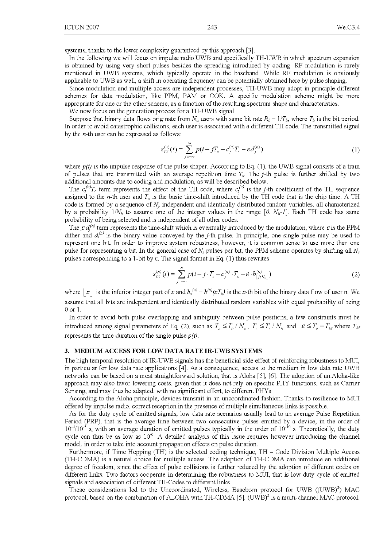systems, thanks to the lower complexity guaranteed by this approach [3].

In the following we will focus on impulse radio UWB and specifically TH-UWB in which spectrum expansion is obtained by using very short pulses besides the spreading introduced by coding. RF modulation is rarely mentioned in UWB systems, which typically operate in the baseband. While RF modulation is obviously applicable to UWB as well, <sup>a</sup> shift in operating frequency can be potentially obtained here by pulse shaping.

Since modulation and multiple access are independent processes, TH-UWB may adopt in principle different schemes for data modulation, like PPM, PAM or OOK. A specific modulation scheme might be more appropriate for one or the other scheme, as a function of the resulting spectrum shape and characteristics.

We now focus on the generation process for <sup>a</sup> TH-UWB signal.

Suppose that binary data flows originate from  $N_u$  users with same bit rate  $R_b = 1/T_b$ , where  $T_b$  is the bit period. In order to avoid catastrophic collisions, each user is associated with <sup>a</sup> different TH code. The transmitted signal by the  $n$ -th user can be expressed as follows:

$$
s_{TX}^{(n)}(t) = \sum_{j=-\infty}^{\infty} p(t - jT_s - c_j^{(n)}T_c - \varepsilon d_j^{(n)})
$$
\n(1)

where  $p(t)$  is the impulse response of the pulse shaper. According to Eq. (1), the UWB signal consists of a train of pulses that are transmitted with an average repetition time  $T_s$ . The *j*-th pulse is further shifted by two additional amounts due to coding and modulation, as will be described below.

The  $c_j^{(n)}T_c$  term represents the effect of the TH code, where  $c_j^{(n)}$  is the j-th coefficient of the TH sequence assigned to the *n*-th user and  $T_c$  is the basic time-shift introduced by the TH code that is the chip time. A TH code is formed by a sequence of  $N_p$  independent and identically distributed random variables, all characterized by a probability  $1/N_h$  to assume one of the integer values in the range [0,  $N_h-1$ ]. Each TH code has same probability of being selected and is independent of all other codes.

The  $\epsilon d_i^{(n)}$  term represents the time-shift which is eventually introduced by the modulation, where  $\epsilon$  is the PPM dither and  $d_i^{(n)}$  is the binary value conveyed by the j-th pulse. In principle, one single pulse may be used to represent one bit. In order to improve system robustness, however, it is common sense to use more than one pulse for representing a bit. In the general case of  $N_s$  pulses per bit, the PPM scheme operates by shifting all  $N_s$ pulses corresponding to a 1-bit by  $\varepsilon$ . The signal format in Eq. (1) thus rewrites:

$$
s_{\rm rx}^{(n)}(t) = \sum_{j=-\infty}^{\infty} p(t-j \cdot T_s - c_j^{(n)} \cdot T_c - \varepsilon \cdot b_{\lfloor j/N_s \rfloor}^{(n)}) \tag{2}
$$

where  $|x|$  is the inferior integer part of x and  $b_x^{(n)} = b^{(n)}(xT_b)$  is the x-th bit of the binary data flow of user n. We assume that all bits are independent and identically distributed random variables with equal probability of being 0 or 1.

In order to avoid both pulse overlapping and ambiguity between pulse positions, a few constraints must be introduced among signal parameters of Eq. (2), such as  $T_s \leq T_b / N_s$ ,  $T_c \leq T_s / N_h$  and  $\epsilon \leq T_c - T_M$  where  $T_M$ represents the time duration of the single pulse  $p(t)$ .

#### 3. MEDIUM ACCESS FOR LOW DATA RATE IR-UWB SYSTEMS

The high temporal resolution of IR-UWB signals has the beneficial side effect of reinforcing robustness to MUI, in particular for low data rate applications [4]. As <sup>a</sup> consequence, access to the medium in low data rate UWB networks can be based on a most straightforward solution, that is Aloha [5], [6]. The adoption of an Aloha-like approach may also favor lowering costs, given that it does not rely on specific PHY functions, such as Carrier Sensing, and may thus be adapted, with no significant effort, to different PHYs.

According to the Aloha principle, devices transmit in an uncoordinated fashion. Thanks to resilience to MUI offered by impulse radio, correct reception in the presence of multiple simultaneous links is possible.

As for the duty cycle of emitted signals, low data rate scenarios usually lead to an average Pulse Repetition Period (PRP), that is the average time between two consecutive pulses emitted by a device, in the order of  $10^{-4}/10^{-5}$  s, with an average duration of emitted pulses typically in the order of  $10^{-10}$  s. Theoretically, the duty cycle can thus be as low as  $10^{-6}$ . A detailed analysis of this issue requires however introducing the channel model, in order to take into account propagation effects on pulse duration.

Furthermore, if Time Hopping (TH) is the selected coding technique, TH - Code Division Multiple Access (TH-CDMA) is <sup>a</sup> natural choice for multiple access. The adoption of TH-CDMA can introduce an additional degree of freedom, since the effect of pulse collisions is further reduced by the adoption of different codes on different links. Two factors cooperate in determining the robustness to MUI, that is low duty cycle of emitted signals and association of different TH-Codes to different links.

These considerations led to the Uncoordinated, Wireless, Baseborn protocol for UWB  $((UWB)^2)$  MAC protocol, based on the combination of ALOHA with TH-CDMA [5]. (UWB)<sup>2</sup> is a multi-channel MAC protocol.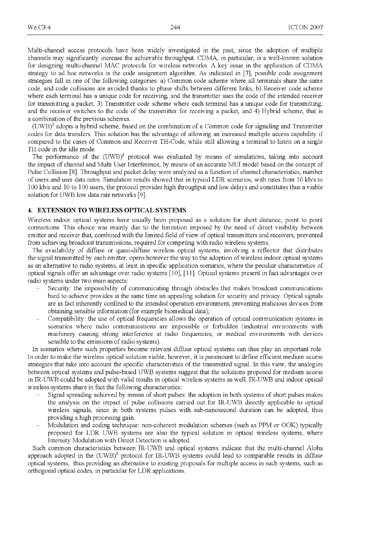Multi-channel access protocols have been widely investigated in the past, since the adoption of multiple channels may significantly increase the achievable throughput. CDMA, in particular, is <sup>a</sup> well-known solution for designing multi-channel MAC protocols for wireless networks. A key issue in the application of CDMA strategy to ad hoc networks is the code assignment algorithm. As indicated in [7], possible code assignment strategies fall in one of the following categories: a) Common code scheme where all terminals share the same code, and code collisions are avoided thanks to phase shifts between different links, b) Receiver code scheme where each terminal has a unique code for receiving, and the transmitter uses the code of the intended receiver for transmitting a packet, 3) Transmitter code scheme where each terminal has a unique code for transmitting, and the receiver switches to the code of the transmitter for receiving a packet, and 4) Hybrid scheme, that is a combination of the previous schemes.

 $(UWB)^2$  adopts a hybrid scheme, based on the combination of a Common code for signaling and Transmitter codes for data transfers. This solution has the advantage of allowing an increased multiple access capability if compared to the cases of Common and Receiver TH-Code, while still allowing <sup>a</sup> terminal to listen on <sup>a</sup> single TH code in the idle mode.

The performance of the  $(UWB)^2$  protocol was evaluated by means of simulations, taking into account the impact of channel and Multi User Interference, by means of an accurate MUI model based on the concept of Pulse Collision [8]. Throughput and packet delay were analyzed as a function of channel characteristics, number of users and user data rates. Simulation results showed that in typical LDR scenarios, with rates from <sup>10</sup> kb/s to 100 kb/s and 10 to 100 users, the protocol provides high throughput and low delays and constitutes thus a viable solution for UWB low data rate networks [9].

### 4. EXTENSION TO WIRELESS OPTICAL SYSTEMS

Wireless indoor optical systems have usually been proposed as a solution for short distance, point to point connections. This choice was mainly due to the limitation imposed by the need of direct visibility between emitter and receiver that, combined with the limited field of view of optical transmitters and receivers, prevented from achieving broadcast transmissions, required for competing with radio wireless systems.

The availability of diffuse or quasi-diffuse wireless optical systems, involving a reflector that distributes the signal transmitted by each emitter, opens however the way to the adoption of wireless indoor optical systems as an alternative to radio systems, at least in specific application scenarios, where the peculiar characteristics of optical signals offer an advantage over radio systems [10], [11]. Optical systems present in fact advantages over radio systems under two main aspects:

- Security: the impossibility of communicating through obstacles that makes broadcast communications hard to achieve provides at the same time an appealing solution for security and privacy. Optical signals are in fact inherently confined to the intended operation environment, preventing malicious devices from obtaining sensible information (for example biomedical data);
- Compatibility: the use of optical frequencies allows the operation of optical communication systems in scenarios where radio communications are impossible or forbidden (industrial environments with machinery causing strong interference at radio frequencies, or medical environments with devices sensible to the emissions of radio systems).

In scenarios where such properties become relevant diffuse optical systems can thus play an important role. In order to make the wireless optical solution viable, however, it is paramount to define efficient medium access strategies that take into account the specific characteristics of the transmitted signal. In this view, the analogies between optical systems and pulse-based UWB systems suggest that the solutions proposed for medium access in IR-UWB could be adopted with valid results in optical wireless systems as well. IR-UWB and indoor optical wireless systems share in fact the following characteristics:

- Signal spreading achieved by means of short pulses: the adoption in both systems of short pulses makes the analysis on the impact of pulse collisions carried out for IR-UWB directly applicable to optical wireless signals, since in both systems pulses with sub-nanosecond duration can be adopted, thus providing a high processing gain.
- Modulation and coding technique: non-coherent modulation schemes (such as PPM or OOK) typically proposed for LDR UWB systems are also the typical solution in optical wireless systems, where Intensity Modulation with Direct Detection is adopted.

Such common characteristics between IR-UWB and optical systems indicate that the multi-channel Aloha approach adopted in the  $(UWB)^2$  protocol for IR-UWB systems could lead to comparable results in diffuse optical systems, thus providing an alternative to existing proposals for multiple access in such systems, such as orthogonal optical codes, in particular for LDR applications.